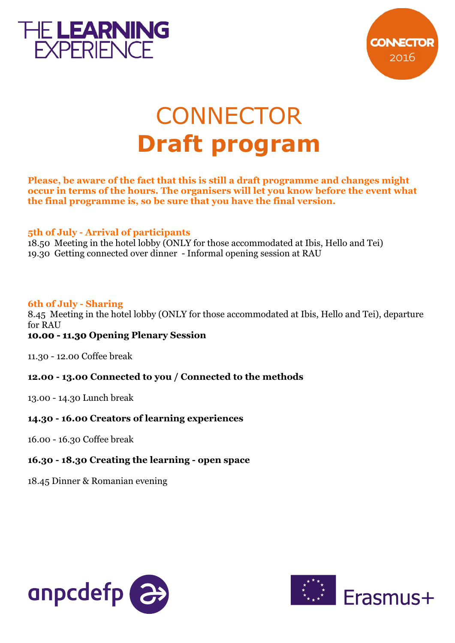



# **CONNECTOR Draft program**

**Please, be aware of the fact that this is still a draft programme and changes might occur in terms of the hours. The organisers will let you know before the event what the final programme is, so be sure that you have the final version.**

#### **5th of July - Arrival of participants**

18.50 Meeting in the hotel lobby (ONLY for those accommodated at Ibis, Hello and Tei) 19.30 Getting connected over dinner - Informal opening session at RAU

## **of July - Sharing 6th**

8.45 Meeting in the hotel lobby (ONLY for those accommodated at Ibis, Hello and Tei), departure for RAU

#### **10.00 - 11.30 Opening Plenary Session 11.30**

11.30 - 12.00 Coffee break

## **12.00 - 13.00 Connected to you / Connected to the methods**

13.00 - 14.30 Lunch break

#### **14.30 - 16.00 Creators of learning experiences**

16.00 - 16.30 Coffee break

#### **16.30 - 18.30 Creating the learning - open space**

18.45 Dinner & Romanian evening



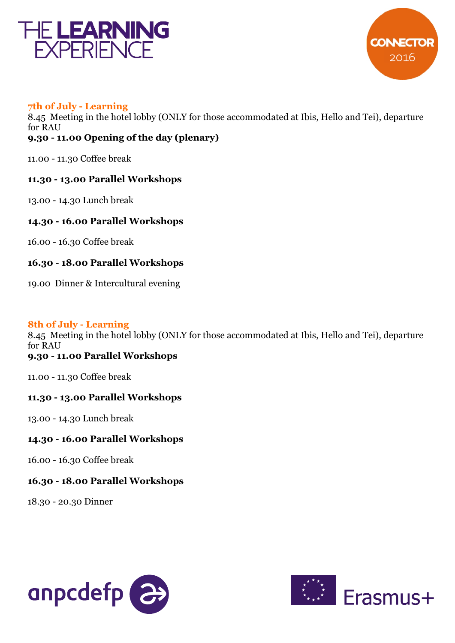



#### **7th of July - Learning**

8.45 Meeting in the hotel lobby (ONLY for those accommodated at Ibis, Hello and Tei), departure **.30 - 11.00 Opening of the day (plenary) 9** for RAU

11.00 - 11.30 Coffee break

#### **11.30 - 13.00 Parallel Workshops**

13.00 - 14.30 Lunch break

**14.30 - 16.00 Parallel Workshops** 

16.00 - 16.30 Coffee break

## **16.30 - 18.00 Parallel Workshops**

19.00 Dinner & Intercultural evening

## **of July - 8th Learning**

**9.30 - 11.00 Parallel Workshops**  8.45 Meeting in the hotel lobby (ONLY for those accommodated at Ibis, Hello and Tei), departure for RAU

11.00 - 11.30 Coffee break

## **11.30 - 13.00 Parallel Workshops**

13.00 - 14.30 Lunch break

## **14.30 - 16.00 Parallel Workshops**

16.00 - 16.30 Coffee break

## **16.30 - 18.00 Parallel Workshops**

18.30 - 20.30 Dinner